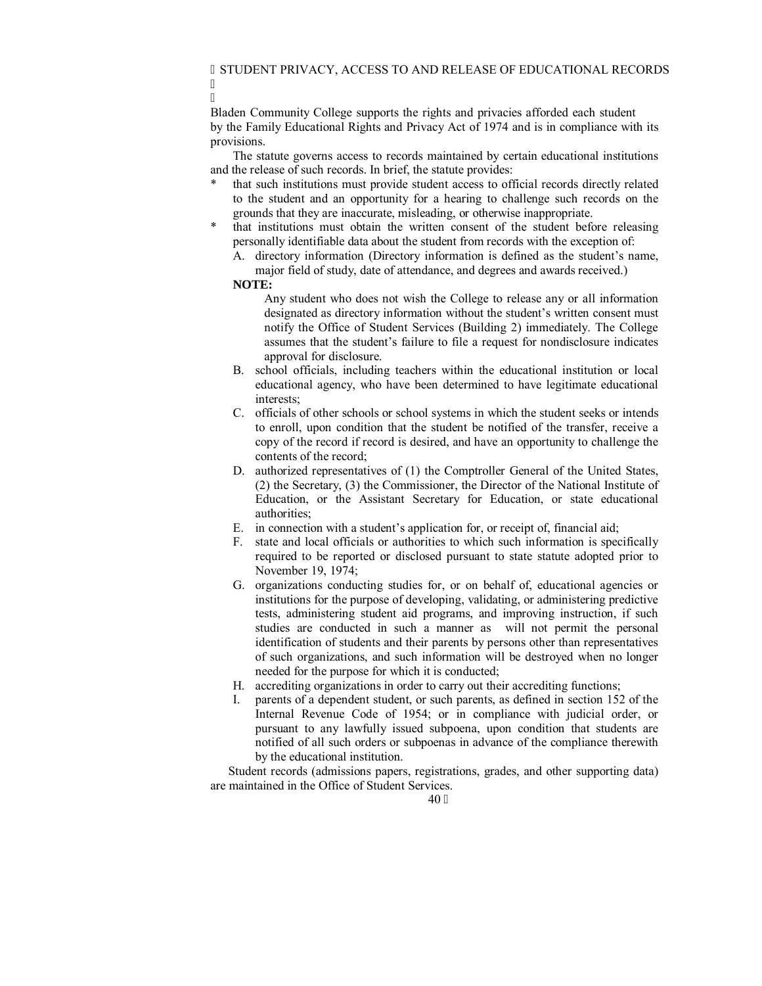I Bladen Community College supports the rights and privacies afforded each student by the Family Educational Rights and Privacy Act of 1974 and is in compliance with its provisions.

The statute governs access to records maintained by certain educational institutions and the release of such records. In brief, the statute provides:

- that such institutions must provide student access to official records directly related to the student and an opportunity for a hearing to challenge such records on the grounds that they are inaccurate, misleading, or otherwise inappropriate.
- that institutions must obtain the written consent of the student before releasing personally identifiable data about the student from records with the exception of:
	- A. directory information (Directory information is defined as the student's name, major field of study, date of attendance, and degrees and awards received.)

## **NOTE:**

I

- Any student who does not wish the College to release any or all information designated as directory information without the student's written consent must notify the Office of Student Services (Building 2) immediately. The College assumes that the student's failure to file a request for nondisclosure indicates approval for disclosure.
- B. school officials, including teachers within the educational institution or local educational agency, who have been determined to have legitimate educational interests;
- C. officials of other schools or school systems in which the student seeks or intends to enroll, upon condition that the student be notified of the transfer, receive a copy of the record if record is desired, and have an opportunity to challenge the contents of the record;
- D. authorized representatives of (1) the Comptroller General of the United States, (2) the Secretary, (3) the Commissioner, the Director of the National Institute of Education, or the Assistant Secretary for Education, or state educational authorities;
- E. in connection with a student's application for, or receipt of, financial aid;
- F. state and local officials or authorities to which such information is specifically required to be reported or disclosed pursuant to state statute adopted prior to November 19, 1974;
- G. organizations conducting studies for, or on behalf of, educational agencies or institutions for the purpose of developing, validating, or administering predictive tests, administering student aid programs, and improving instruction, if such studies are conducted in such a manner as will not permit the personal identification of students and their parents by persons other than representatives of such organizations, and such information will be destroyed when no longer needed for the purpose for which it is conducted;
- H. accrediting organizations in order to carry out their accrediting functions;
- parents of a dependent student, or such parents, as defined in section 152 of the Internal Revenue Code of 1954; or in compliance with judicial order, or pursuant to any lawfully issued subpoena, upon condition that students are notified of all such orders or subpoenas in advance of the compliance therewith by the educational institution.

Student records (admissions papers, registrations, grades, and other supporting data) are maintained in the Office of Student Services.